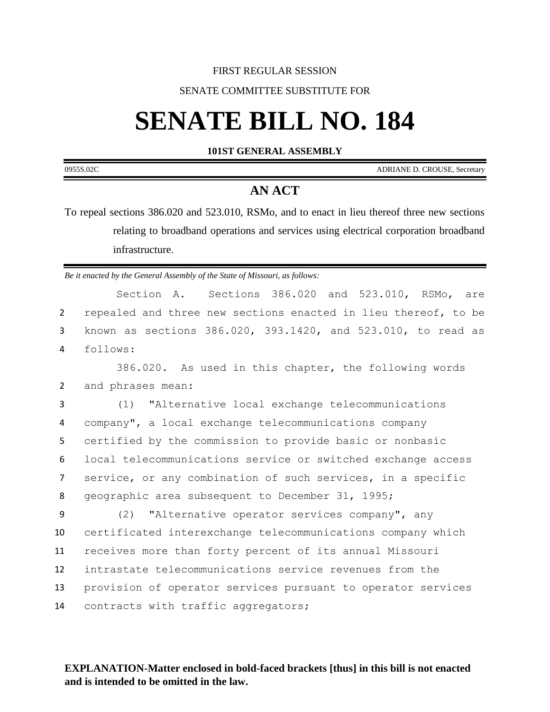## FIRST REGULAR SESSION

## SENATE COMMITTEE SUBSTITUTE FOR

# **SENATE BILL NO. 184**

**101ST GENERAL ASSEMBLY**

0955S.02C ADRIANE D. CROUSE, Secretary

## **AN ACT**

To repeal sections 386.020 and 523.010, RSMo, and to enact in lieu thereof three new sections relating to broadband operations and services using electrical corporation broadband infrastructure.

*Be it enacted by the General Assembly of the State of Missouri, as follows:*

Section A. Sections 386.020 and 523.010, RSMo, are 2 repealed and three new sections enacted in lieu thereof, to be 3 known as sections 386.020, 393.1420, and 523.010, to read as 4 follows:

1 386.020. As used in this chapter, the following words 2 and phrases mean:

 (1) "Alternative local exchange telecommunications company", a local exchange telecommunications company certified by the commission to provide basic or nonbasic local telecommunications service or switched exchange access service, or any combination of such services, in a specific geographic area subsequent to December 31, 1995;

 (2) "Alternative operator services company", any certificated interexchange telecommunications company which receives more than forty percent of its annual Missouri intrastate telecommunications service revenues from the provision of operator services pursuant to operator services 14 contracts with traffic aggregators;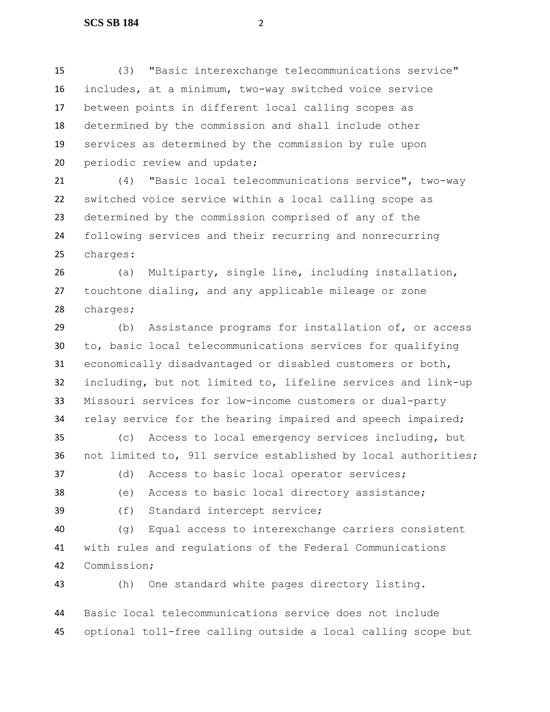(3) "Basic interexchange telecommunications service" includes, at a minimum, two-way switched voice service between points in different local calling scopes as determined by the commission and shall include other services as determined by the commission by rule upon 20 periodic review and update;

 (4) "Basic local telecommunications service", two-way switched voice service within a local calling scope as determined by the commission comprised of any of the following services and their recurring and nonrecurring charges:

 (a) Multiparty, single line, including installation, touchtone dialing, and any applicable mileage or zone charges;

 (b) Assistance programs for installation of, or access to, basic local telecommunications services for qualifying economically disadvantaged or disabled customers or both, including, but not limited to, lifeline services and link-up Missouri services for low-income customers or dual-party relay service for the hearing impaired and speech impaired;

 (c) Access to local emergency services including, but not limited to, 911 service established by local authorities;

- (d) Access to basic local operator services;
- (e) Access to basic local directory assistance;
- 
- (f) Standard intercept service;

 (g) Equal access to interexchange carriers consistent with rules and regulations of the Federal Communications Commission;

(h) One standard white pages directory listing.

 Basic local telecommunications service does not include optional toll-free calling outside a local calling scope but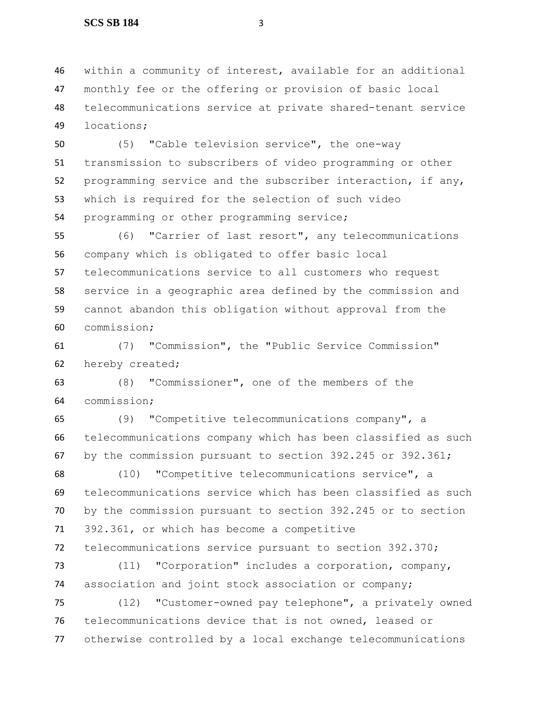within a community of interest, available for an additional monthly fee or the offering or provision of basic local telecommunications service at private shared-tenant service locations;

 (5) "Cable television service", the one-way transmission to subscribers of video programming or other programming service and the subscriber interaction, if any, which is required for the selection of such video programming or other programming service;

 (6) "Carrier of last resort", any telecommunications company which is obligated to offer basic local telecommunications service to all customers who request service in a geographic area defined by the commission and cannot abandon this obligation without approval from the commission;

 (7) "Commission", the "Public Service Commission" hereby created;

 (8) "Commissioner", one of the members of the commission;

 (9) "Competitive telecommunications company", a telecommunications company which has been classified as such by the commission pursuant to section 392.245 or 392.361;

 (10) "Competitive telecommunications service", a telecommunications service which has been classified as such by the commission pursuant to section 392.245 or to section 392.361, or which has become a competitive telecommunications service pursuant to section 392.370;

 (11) "Corporation" includes a corporation, company, association and joint stock association or company;

 (12) "Customer-owned pay telephone", a privately owned telecommunications device that is not owned, leased or otherwise controlled by a local exchange telecommunications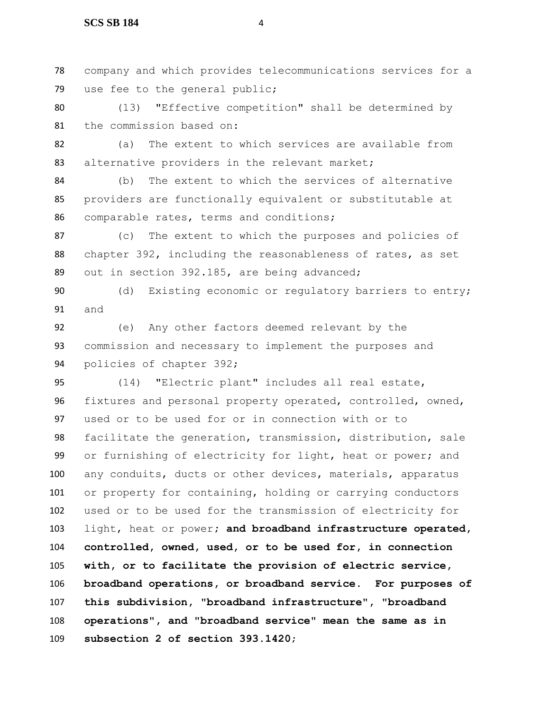### **SCS SB 184** 4

 company and which provides telecommunications services for a use fee to the general public;

 (13) "Effective competition" shall be determined by the commission based on:

 (a) The extent to which services are available from 83 alternative providers in the relevant market;

 (b) The extent to which the services of alternative providers are functionally equivalent or substitutable at comparable rates, terms and conditions;

 (c) The extent to which the purposes and policies of chapter 392, including the reasonableness of rates, as set out in section 392.185, are being advanced;

 (d) Existing economic or regulatory barriers to entry; and

 (e) Any other factors deemed relevant by the commission and necessary to implement the purposes and policies of chapter 392;

 (14) "Electric plant" includes all real estate, fixtures and personal property operated, controlled, owned, used or to be used for or in connection with or to facilitate the generation, transmission, distribution, sale or furnishing of electricity for light, heat or power; and any conduits, ducts or other devices, materials, apparatus or property for containing, holding or carrying conductors used or to be used for the transmission of electricity for light, heat or power**; and broadband infrastructure operated, controlled, owned, used, or to be used for, in connection with, or to facilitate the provision of electric service, broadband operations, or broadband service. For purposes of this subdivision, "broadband infrastructure", "broadband operations", and "broadband service" mean the same as in subsection 2 of section 393.1420**;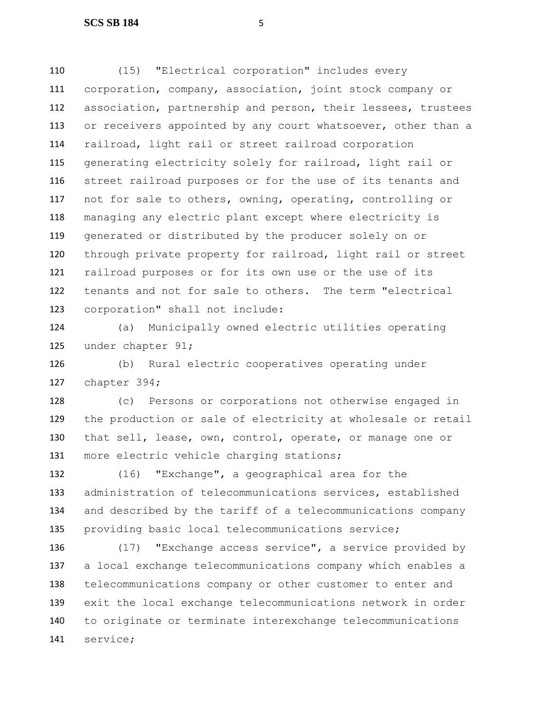(15) "Electrical corporation" includes every corporation, company, association, joint stock company or association, partnership and person, their lessees, trustees 113 or receivers appointed by any court whatsoever, other than a railroad, light rail or street railroad corporation generating electricity solely for railroad, light rail or street railroad purposes or for the use of its tenants and not for sale to others, owning, operating, controlling or managing any electric plant except where electricity is generated or distributed by the producer solely on or through private property for railroad, light rail or street railroad purposes or for its own use or the use of its tenants and not for sale to others. The term "electrical corporation" shall not include:

 (a) Municipally owned electric utilities operating under chapter 91;

 (b) Rural electric cooperatives operating under chapter 394;

 (c) Persons or corporations not otherwise engaged in the production or sale of electricity at wholesale or retail that sell, lease, own, control, operate, or manage one or more electric vehicle charging stations;

 (16) "Exchange", a geographical area for the administration of telecommunications services, established and described by the tariff of a telecommunications company providing basic local telecommunications service;

 (17) "Exchange access service", a service provided by a local exchange telecommunications company which enables a telecommunications company or other customer to enter and exit the local exchange telecommunications network in order to originate or terminate interexchange telecommunications service;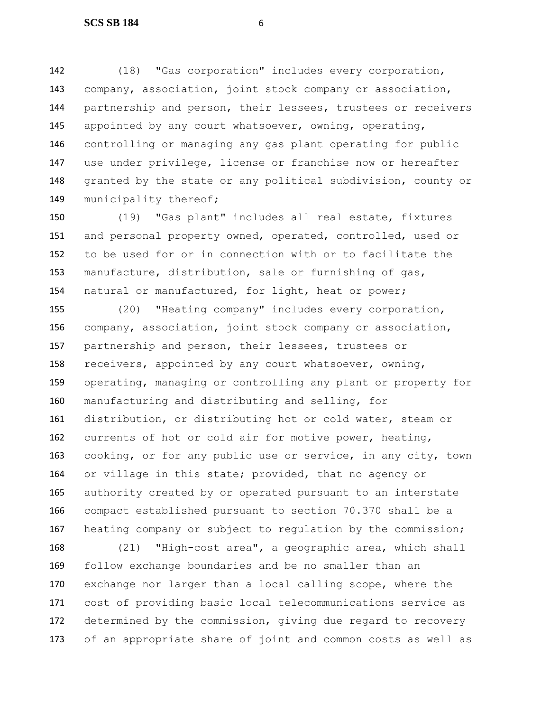(18) "Gas corporation" includes every corporation, company, association, joint stock company or association, partnership and person, their lessees, trustees or receivers appointed by any court whatsoever, owning, operating, controlling or managing any gas plant operating for public use under privilege, license or franchise now or hereafter granted by the state or any political subdivision, county or 149 municipality thereof;

 (19) "Gas plant" includes all real estate, fixtures and personal property owned, operated, controlled, used or to be used for or in connection with or to facilitate the manufacture, distribution, sale or furnishing of gas, natural or manufactured, for light, heat or power;

 (20) "Heating company" includes every corporation, company, association, joint stock company or association, partnership and person, their lessees, trustees or receivers, appointed by any court whatsoever, owning, operating, managing or controlling any plant or property for manufacturing and distributing and selling, for distribution, or distributing hot or cold water, steam or currents of hot or cold air for motive power, heating, cooking, or for any public use or service, in any city, town or village in this state; provided, that no agency or authority created by or operated pursuant to an interstate compact established pursuant to section 70.370 shall be a heating company or subject to regulation by the commission;

 (21) "High-cost area", a geographic area, which shall follow exchange boundaries and be no smaller than an exchange nor larger than a local calling scope, where the cost of providing basic local telecommunications service as determined by the commission, giving due regard to recovery of an appropriate share of joint and common costs as well as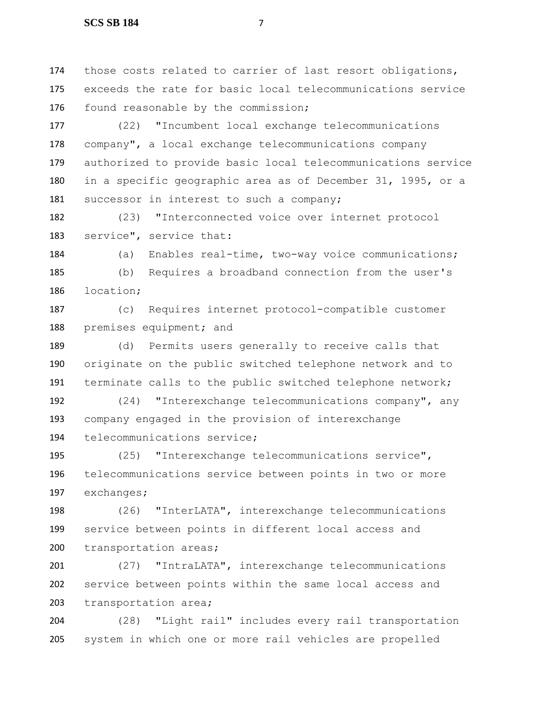those costs related to carrier of last resort obligations, exceeds the rate for basic local telecommunications service 176 found reasonable by the commission;

 (22) "Incumbent local exchange telecommunications company", a local exchange telecommunications company authorized to provide basic local telecommunications service in a specific geographic area as of December 31, 1995, or a 181 successor in interest to such a company;

 (23) "Interconnected voice over internet protocol service", service that:

 (a) Enables real-time, two-way voice communications; (b) Requires a broadband connection from the user's location;

 (c) Requires internet protocol-compatible customer 188 premises equipment; and

 (d) Permits users generally to receive calls that originate on the public switched telephone network and to terminate calls to the public switched telephone network;

 (24) "Interexchange telecommunications company", any company engaged in the provision of interexchange telecommunications service;

 (25) "Interexchange telecommunications service", telecommunications service between points in two or more exchanges;

 (26) "InterLATA", interexchange telecommunications service between points in different local access and transportation areas;

 (27) "IntraLATA", interexchange telecommunications service between points within the same local access and transportation area;

 (28) "Light rail" includes every rail transportation system in which one or more rail vehicles are propelled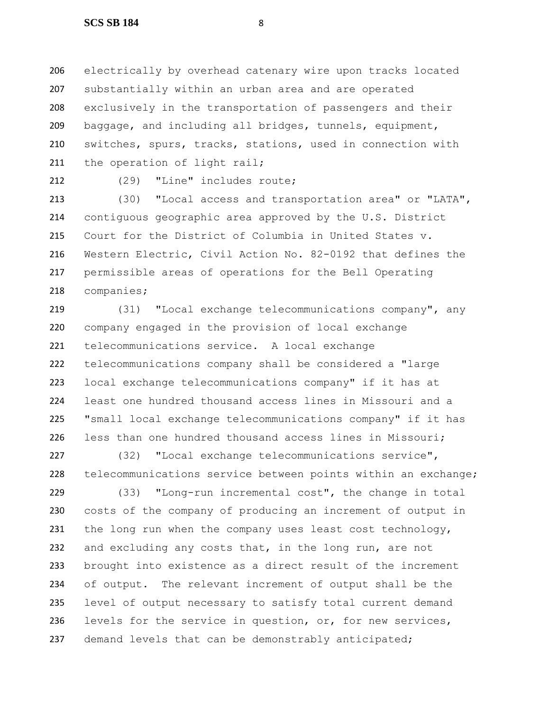electrically by overhead catenary wire upon tracks located substantially within an urban area and are operated exclusively in the transportation of passengers and their baggage, and including all bridges, tunnels, equipment, switches, spurs, tracks, stations, used in connection with 211 the operation of light rail;

(29) "Line" includes route;

 (30) "Local access and transportation area" or "LATA", contiguous geographic area approved by the U.S. District Court for the District of Columbia in United States v. Western Electric, Civil Action No. 82-0192 that defines the permissible areas of operations for the Bell Operating companies;

 (31) "Local exchange telecommunications company", any company engaged in the provision of local exchange telecommunications service. A local exchange telecommunications company shall be considered a "large local exchange telecommunications company" if it has at least one hundred thousand access lines in Missouri and a "small local exchange telecommunications company" if it has less than one hundred thousand access lines in Missouri;

 (32) "Local exchange telecommunications service", telecommunications service between points within an exchange;

 (33) "Long-run incremental cost", the change in total costs of the company of producing an increment of output in 231 the long run when the company uses least cost technology, 232 and excluding any costs that, in the long run, are not brought into existence as a direct result of the increment of output. The relevant increment of output shall be the level of output necessary to satisfy total current demand levels for the service in question, or, for new services, 237 demand levels that can be demonstrably anticipated;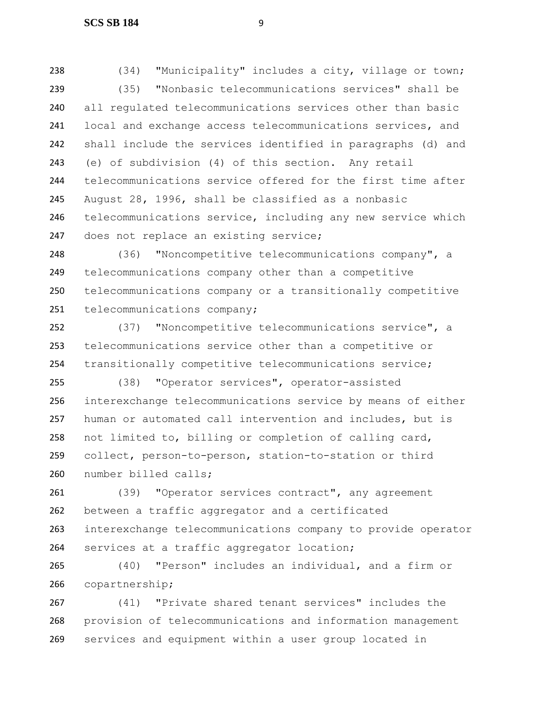(34) "Municipality" includes a city, village or town; (35) "Nonbasic telecommunications services" shall be all regulated telecommunications services other than basic local and exchange access telecommunications services, and shall include the services identified in paragraphs (d) and (e) of subdivision (4) of this section. Any retail telecommunications service offered for the first time after August 28, 1996, shall be classified as a nonbasic telecommunications service, including any new service which does not replace an existing service;

 (36) "Noncompetitive telecommunications company", a telecommunications company other than a competitive telecommunications company or a transitionally competitive 251 telecommunications company;

 (37) "Noncompetitive telecommunications service", a telecommunications service other than a competitive or transitionally competitive telecommunications service;

 (38) "Operator services", operator-assisted interexchange telecommunications service by means of either human or automated call intervention and includes, but is not limited to, billing or completion of calling card, collect, person-to-person, station-to-station or third number billed calls;

 (39) "Operator services contract", any agreement between a traffic aggregator and a certificated interexchange telecommunications company to provide operator 264 services at a traffic aggregator location;

 (40) "Person" includes an individual, and a firm or copartnership;

 (41) "Private shared tenant services" includes the provision of telecommunications and information management services and equipment within a user group located in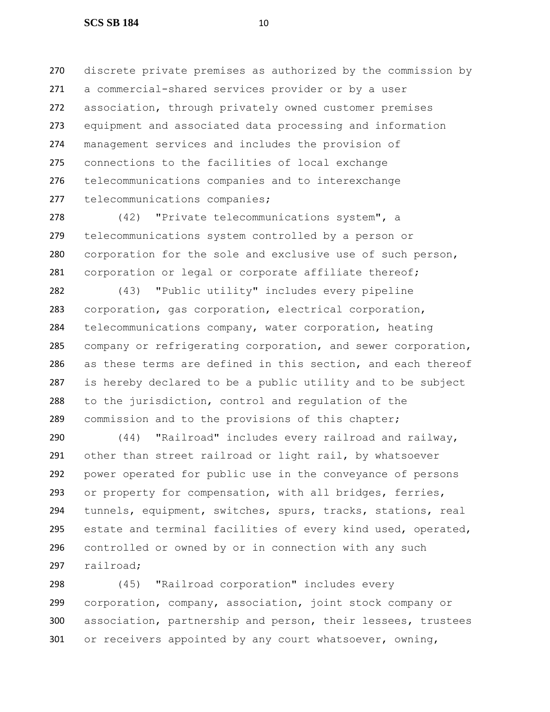discrete private premises as authorized by the commission by a commercial-shared services provider or by a user association, through privately owned customer premises equipment and associated data processing and information management services and includes the provision of connections to the facilities of local exchange telecommunications companies and to interexchange telecommunications companies;

 (42) "Private telecommunications system", a telecommunications system controlled by a person or corporation for the sole and exclusive use of such person, corporation or legal or corporate affiliate thereof;

 (43) "Public utility" includes every pipeline corporation, gas corporation, electrical corporation, telecommunications company, water corporation, heating company or refrigerating corporation, and sewer corporation, as these terms are defined in this section, and each thereof is hereby declared to be a public utility and to be subject to the jurisdiction, control and regulation of the commission and to the provisions of this chapter;

 (44) "Railroad" includes every railroad and railway, other than street railroad or light rail, by whatsoever power operated for public use in the conveyance of persons or property for compensation, with all bridges, ferries, tunnels, equipment, switches, spurs, tracks, stations, real estate and terminal facilities of every kind used, operated, controlled or owned by or in connection with any such railroad;

 (45) "Railroad corporation" includes every corporation, company, association, joint stock company or association, partnership and person, their lessees, trustees or receivers appointed by any court whatsoever, owning,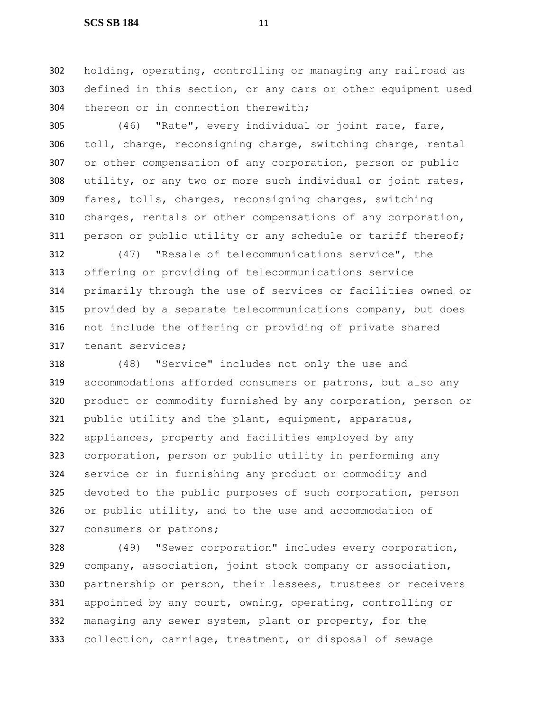holding, operating, controlling or managing any railroad as defined in this section, or any cars or other equipment used thereon or in connection therewith;

 (46) "Rate", every individual or joint rate, fare, toll, charge, reconsigning charge, switching charge, rental or other compensation of any corporation, person or public utility, or any two or more such individual or joint rates, fares, tolls, charges, reconsigning charges, switching charges, rentals or other compensations of any corporation, person or public utility or any schedule or tariff thereof;

 (47) "Resale of telecommunications service", the offering or providing of telecommunications service primarily through the use of services or facilities owned or provided by a separate telecommunications company, but does not include the offering or providing of private shared tenant services;

 (48) "Service" includes not only the use and accommodations afforded consumers or patrons, but also any product or commodity furnished by any corporation, person or public utility and the plant, equipment, apparatus, appliances, property and facilities employed by any corporation, person or public utility in performing any service or in furnishing any product or commodity and 325 devoted to the public purposes of such corporation, person or public utility, and to the use and accommodation of consumers or patrons;

 (49) "Sewer corporation" includes every corporation, company, association, joint stock company or association, partnership or person, their lessees, trustees or receivers appointed by any court, owning, operating, controlling or managing any sewer system, plant or property, for the collection, carriage, treatment, or disposal of sewage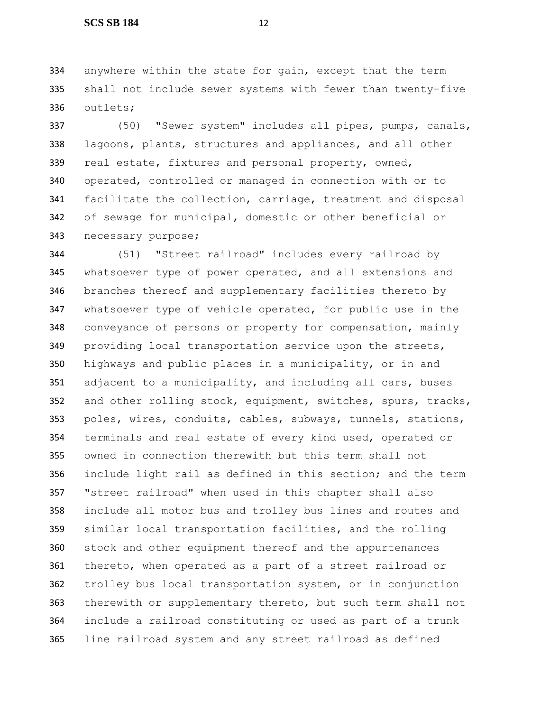anywhere within the state for gain, except that the term shall not include sewer systems with fewer than twenty-five outlets;

 (50) "Sewer system" includes all pipes, pumps, canals, lagoons, plants, structures and appliances, and all other real estate, fixtures and personal property, owned, operated, controlled or managed in connection with or to facilitate the collection, carriage, treatment and disposal of sewage for municipal, domestic or other beneficial or necessary purpose;

 (51) "Street railroad" includes every railroad by whatsoever type of power operated, and all extensions and branches thereof and supplementary facilities thereto by whatsoever type of vehicle operated, for public use in the conveyance of persons or property for compensation, mainly providing local transportation service upon the streets, highways and public places in a municipality, or in and 351 adjacent to a municipality, and including all cars, buses 352 and other rolling stock, equipment, switches, spurs, tracks, poles, wires, conduits, cables, subways, tunnels, stations, terminals and real estate of every kind used, operated or owned in connection therewith but this term shall not include light rail as defined in this section; and the term "street railroad" when used in this chapter shall also include all motor bus and trolley bus lines and routes and similar local transportation facilities, and the rolling stock and other equipment thereof and the appurtenances thereto, when operated as a part of a street railroad or trolley bus local transportation system, or in conjunction therewith or supplementary thereto, but such term shall not include a railroad constituting or used as part of a trunk line railroad system and any street railroad as defined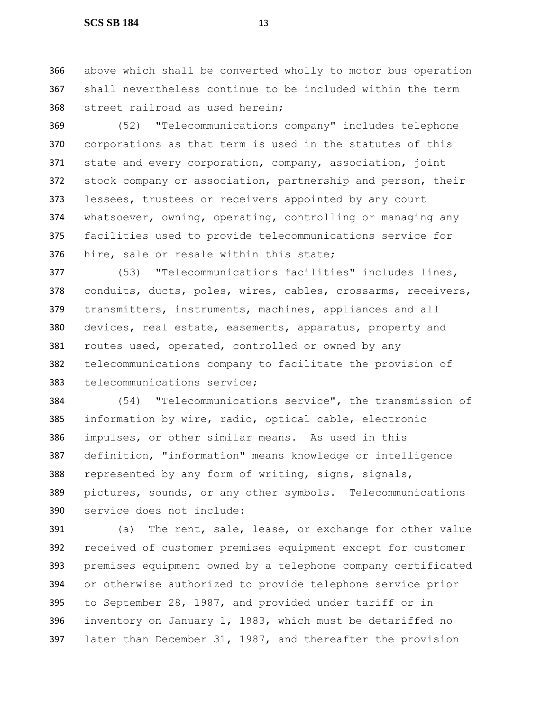above which shall be converted wholly to motor bus operation shall nevertheless continue to be included within the term street railroad as used herein;

 (52) "Telecommunications company" includes telephone corporations as that term is used in the statutes of this 371 state and every corporation, company, association, joint stock company or association, partnership and person, their lessees, trustees or receivers appointed by any court whatsoever, owning, operating, controlling or managing any facilities used to provide telecommunications service for hire, sale or resale within this state;

 (53) "Telecommunications facilities" includes lines, conduits, ducts, poles, wires, cables, crossarms, receivers, transmitters, instruments, machines, appliances and all devices, real estate, easements, apparatus, property and routes used, operated, controlled or owned by any telecommunications company to facilitate the provision of telecommunications service;

 (54) "Telecommunications service", the transmission of information by wire, radio, optical cable, electronic impulses, or other similar means. As used in this definition, "information" means knowledge or intelligence represented by any form of writing, signs, signals, pictures, sounds, or any other symbols. Telecommunications service does not include:

 (a) The rent, sale, lease, or exchange for other value received of customer premises equipment except for customer premises equipment owned by a telephone company certificated or otherwise authorized to provide telephone service prior to September 28, 1987, and provided under tariff or in inventory on January 1, 1983, which must be detariffed no later than December 31, 1987, and thereafter the provision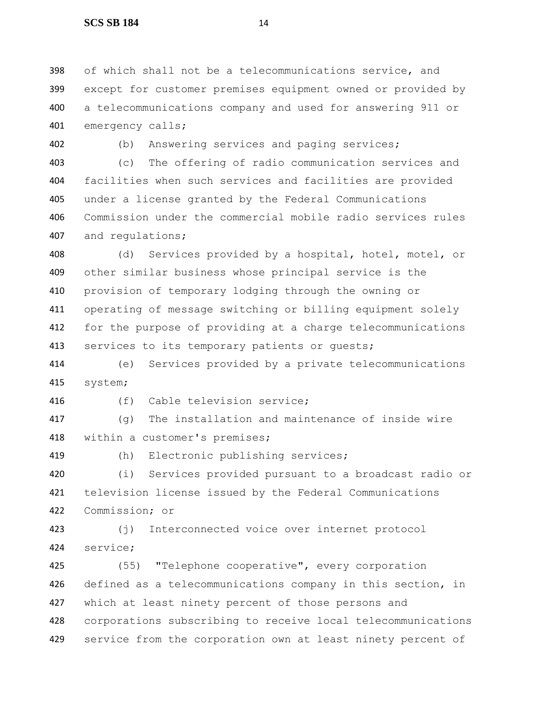of which shall not be a telecommunications service, and except for customer premises equipment owned or provided by a telecommunications company and used for answering 911 or emergency calls;

(b) Answering services and paging services;

 (c) The offering of radio communication services and facilities when such services and facilities are provided under a license granted by the Federal Communications Commission under the commercial mobile radio services rules and regulations;

 (d) Services provided by a hospital, hotel, motel, or other similar business whose principal service is the provision of temporary lodging through the owning or operating of message switching or billing equipment solely for the purpose of providing at a charge telecommunications 413 services to its temporary patients or guests;

 (e) Services provided by a private telecommunications system;

(f) Cable television service;

 (q) The installation and maintenance of inside wire within a customer's premises;

(h) Electronic publishing services;

 (i) Services provided pursuant to a broadcast radio or television license issued by the Federal Communications Commission; or

 (j) Interconnected voice over internet protocol service;

 (55) "Telephone cooperative", every corporation defined as a telecommunications company in this section, in which at least ninety percent of those persons and corporations subscribing to receive local telecommunications 429 service from the corporation own at least ninety percent of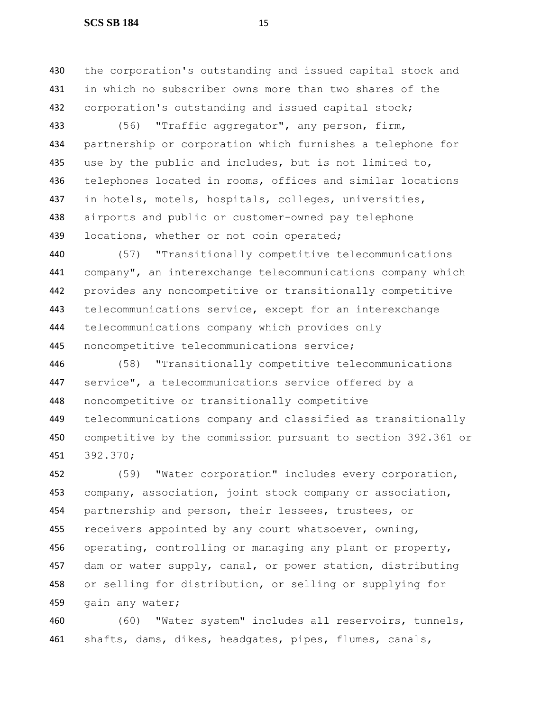#### **SCS SB 184** 15

 the corporation's outstanding and issued capital stock and in which no subscriber owns more than two shares of the corporation's outstanding and issued capital stock;

 (56) "Traffic aggregator", any person, firm, partnership or corporation which furnishes a telephone for 435 use by the public and includes, but is not limited to, telephones located in rooms, offices and similar locations in hotels, motels, hospitals, colleges, universities, airports and public or customer-owned pay telephone 439 locations, whether or not coin operated;

 (57) "Transitionally competitive telecommunications company", an interexchange telecommunications company which provides any noncompetitive or transitionally competitive telecommunications service, except for an interexchange telecommunications company which provides only noncompetitive telecommunications service;

 (58) "Transitionally competitive telecommunications service", a telecommunications service offered by a noncompetitive or transitionally competitive telecommunications company and classified as transitionally competitive by the commission pursuant to section 392.361 or 392.370;

 (59) "Water corporation" includes every corporation, company, association, joint stock company or association, partnership and person, their lessees, trustees, or 455 receivers appointed by any court whatsoever, owning, 456 operating, controlling or managing any plant or property, 457 dam or water supply, canal, or power station, distributing or selling for distribution, or selling or supplying for 459 gain any water;

 (60) "Water system" includes all reservoirs, tunnels, shafts, dams, dikes, headgates, pipes, flumes, canals,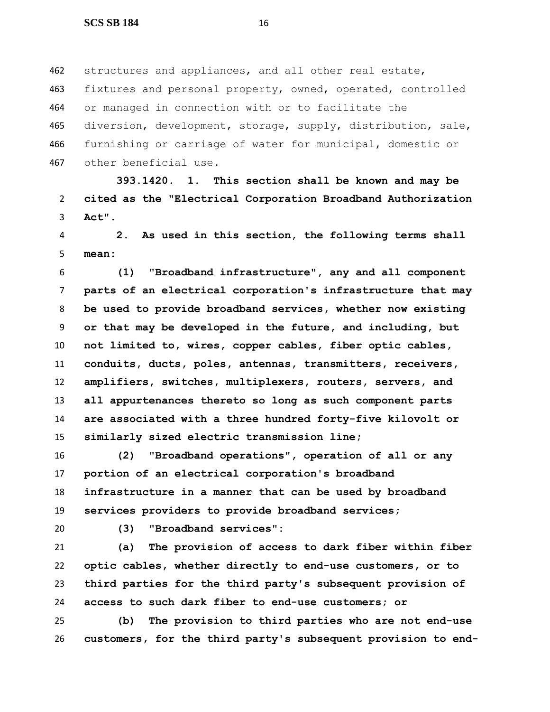structures and appliances, and all other real estate, 463 fixtures and personal property, owned, operated, controlled or managed in connection with or to facilitate the diversion, development, storage, supply, distribution, sale, furnishing or carriage of water for municipal, domestic or other beneficial use.

 **393.1420. 1. This section shall be known and may be cited as the "Electrical Corporation Broadband Authorization Act".**

 **2. As used in this section, the following terms shall mean:**

 **(1) "Broadband infrastructure", any and all component parts of an electrical corporation's infrastructure that may be used to provide broadband services, whether now existing or that may be developed in the future, and including, but not limited to, wires, copper cables, fiber optic cables, conduits, ducts, poles, antennas, transmitters, receivers, amplifiers, switches, multiplexers, routers, servers, and all appurtenances thereto so long as such component parts are associated with a three hundred forty-five kilovolt or similarly sized electric transmission line;**

 **(2) "Broadband operations", operation of all or any portion of an electrical corporation's broadband infrastructure in a manner that can be used by broadband services providers to provide broadband services;**

**(3) "Broadband services":**

 **(a) The provision of access to dark fiber within fiber optic cables, whether directly to end-use customers, or to third parties for the third party's subsequent provision of access to such dark fiber to end-use customers; or**

 **(b) The provision to third parties who are not end-use customers, for the third party's subsequent provision to end-**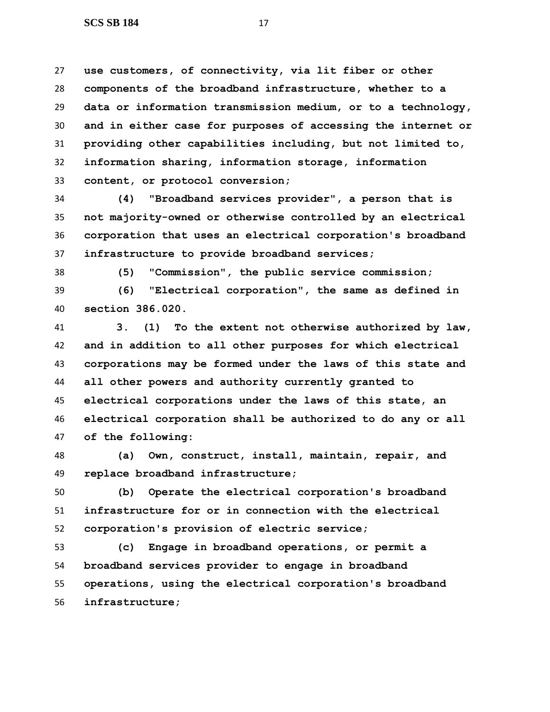**use customers, of connectivity, via lit fiber or other components of the broadband infrastructure, whether to a data or information transmission medium, or to a technology, and in either case for purposes of accessing the internet or providing other capabilities including, but not limited to, information sharing, information storage, information content, or protocol conversion;**

 **(4) "Broadband services provider", a person that is not majority-owned or otherwise controlled by an electrical corporation that uses an electrical corporation's broadband infrastructure to provide broadband services;**

**(5) "Commission", the public service commission;**

 **(6) "Electrical corporation", the same as defined in section 386.020.**

 **3. (1) To the extent not otherwise authorized by law, and in addition to all other purposes for which electrical corporations may be formed under the laws of this state and all other powers and authority currently granted to electrical corporations under the laws of this state, an electrical corporation shall be authorized to do any or all of the following:**

 **(a) Own, construct, install, maintain, repair, and replace broadband infrastructure;**

 **(b) Operate the electrical corporation's broadband infrastructure for or in connection with the electrical corporation's provision of electric service;**

 **(c) Engage in broadband operations, or permit a broadband services provider to engage in broadband operations, using the electrical corporation's broadband infrastructure;**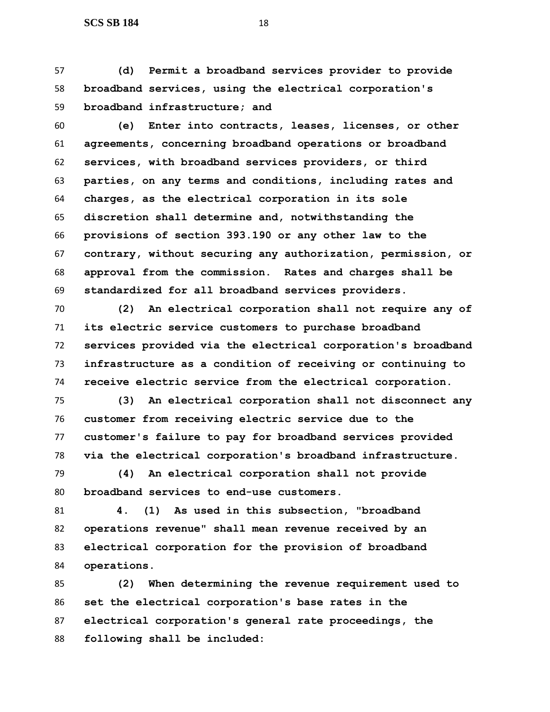**(d) Permit a broadband services provider to provide broadband services, using the electrical corporation's broadband infrastructure; and**

 **(e) Enter into contracts, leases, licenses, or other agreements, concerning broadband operations or broadband services, with broadband services providers, or third parties, on any terms and conditions, including rates and charges, as the electrical corporation in its sole discretion shall determine and, notwithstanding the provisions of section 393.190 or any other law to the contrary, without securing any authorization, permission, or approval from the commission. Rates and charges shall be standardized for all broadband services providers.**

 **(2) An electrical corporation shall not require any of its electric service customers to purchase broadband services provided via the electrical corporation's broadband infrastructure as a condition of receiving or continuing to receive electric service from the electrical corporation.**

 **(3) An electrical corporation shall not disconnect any customer from receiving electric service due to the customer's failure to pay for broadband services provided via the electrical corporation's broadband infrastructure.**

 **(4) An electrical corporation shall not provide broadband services to end-use customers.**

 **4. (1) As used in this subsection, "broadband operations revenue" shall mean revenue received by an electrical corporation for the provision of broadband operations.**

 **(2) When determining the revenue requirement used to set the electrical corporation's base rates in the electrical corporation's general rate proceedings, the following shall be included:**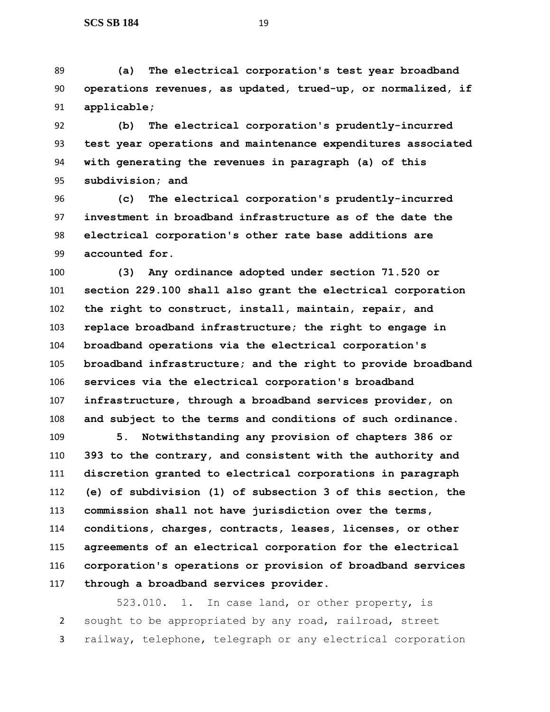**(a) The electrical corporation's test year broadband operations revenues, as updated, trued-up, or normalized, if applicable;**

 **(b) The electrical corporation's prudently-incurred test year operations and maintenance expenditures associated with generating the revenues in paragraph (a) of this subdivision; and**

 **(c) The electrical corporation's prudently-incurred investment in broadband infrastructure as of the date the electrical corporation's other rate base additions are accounted for.**

 **(3) Any ordinance adopted under section 71.520 or section 229.100 shall also grant the electrical corporation the right to construct, install, maintain, repair, and replace broadband infrastructure; the right to engage in broadband operations via the electrical corporation's broadband infrastructure; and the right to provide broadband services via the electrical corporation's broadband infrastructure, through a broadband services provider, on and subject to the terms and conditions of such ordinance.**

 **5. Notwithstanding any provision of chapters 386 or 393 to the contrary, and consistent with the authority and discretion granted to electrical corporations in paragraph (e) of subdivision (1) of subsection 3 of this section, the commission shall not have jurisdiction over the terms, conditions, charges, contracts, leases, licenses, or other agreements of an electrical corporation for the electrical corporation's operations or provision of broadband services through a broadband services provider.**

523.010. 1. In case land, or other property, is sought to be appropriated by any road, railroad, street railway, telephone, telegraph or any electrical corporation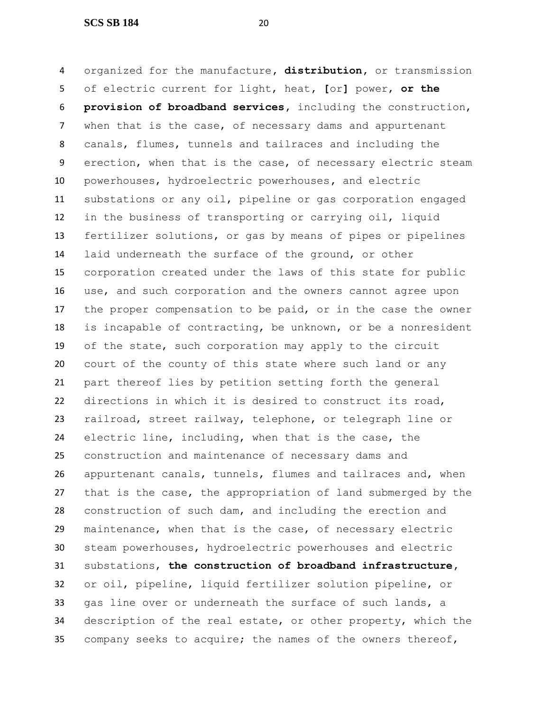**SCS SB 184** 20

 organized for the manufacture**, distribution,** or transmission of electric current for light, heat**, [**or**]** power, **or the provision of broadband services,** including the construction, when that is the case, of necessary dams and appurtenant canals, flumes, tunnels and tailraces and including the erection, when that is the case, of necessary electric steam powerhouses, hydroelectric powerhouses**,** and electric substations or any oil, pipeline or gas corporation engaged in the business of transporting or carrying oil, liquid fertilizer solutions, or gas by means of pipes or pipelines laid underneath the surface of the ground, or other corporation created under the laws of this state for public use, and such corporation and the owners cannot agree upon the proper compensation to be paid, or in the case the owner is incapable of contracting, be unknown, or be a nonresident of the state, such corporation may apply to the circuit court of the county of this state where such land or any part thereof lies by petition setting forth the general directions in which it is desired to construct its road, railroad, street railway, telephone, or telegraph line or electric line, including, when that is the case, the construction and maintenance of necessary dams and appurtenant canals, tunnels, flumes and tailraces and, when that is the case, the appropriation of land submerged by the construction of such dam, and including the erection and maintenance, when that is the case, of necessary electric steam powerhouses, hydroelectric powerhouses and electric substations, **the construction of broadband infrastructure,** or oil, pipeline, liquid fertilizer solution pipeline, or gas line over or underneath the surface of such lands, a description of the real estate, or other property, which the company seeks to acquire; the names of the owners thereof,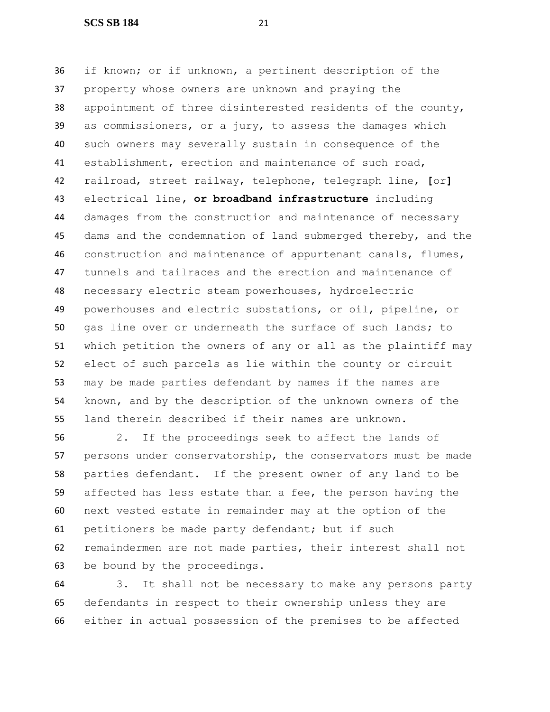**SCS SB 184** 21

 if known; or if unknown, a pertinent description of the property whose owners are unknown and praying the appointment of three disinterested residents of the county, as commissioners, or a jury, to assess the damages which such owners may severally sustain in consequence of the establishment, erection and maintenance of such road, railroad, street railway, telephone, telegraph line, **[**or**]** electrical line**, or broadband infrastructure** including damages from the construction and maintenance of necessary dams and the condemnation of land submerged thereby, and the construction and maintenance of appurtenant canals, flumes, tunnels and tailraces and the erection and maintenance of necessary electric steam powerhouses, hydroelectric powerhouses and electric substations, or oil, pipeline, or gas line over or underneath the surface of such lands; to which petition the owners of any or all as the plaintiff may elect of such parcels as lie within the county or circuit may be made parties defendant by names if the names are known, and by the description of the unknown owners of the land therein described if their names are unknown.

 2. If the proceedings seek to affect the lands of persons under conservatorship, the conservators must be made parties defendant. If the present owner of any land to be affected has less estate than a fee, the person having the next vested estate in remainder may at the option of the petitioners be made party defendant; but if such remaindermen are not made parties, their interest shall not be bound by the proceedings.

 3. It shall not be necessary to make any persons party defendants in respect to their ownership unless they are either in actual possession of the premises to be affected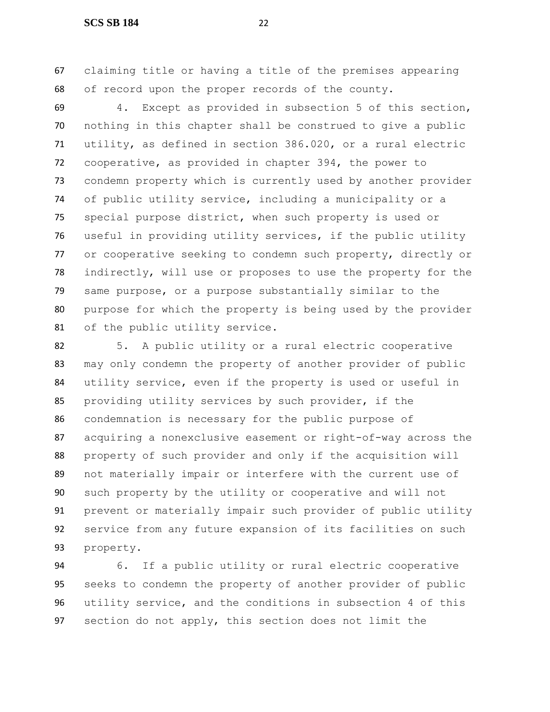claiming title or having a title of the premises appearing of record upon the proper records of the county.

 4. Except as provided in subsection 5 of this section, nothing in this chapter shall be construed to give a public utility, as defined in section 386.020, or a rural electric cooperative, as provided in chapter 394, the power to condemn property which is currently used by another provider of public utility service, including a municipality or a special purpose district, when such property is used or useful in providing utility services, if the public utility or cooperative seeking to condemn such property, directly or indirectly, will use or proposes to use the property for the same purpose, or a purpose substantially similar to the purpose for which the property is being used by the provider of the public utility service.

 5. A public utility or a rural electric cooperative 83 may only condemn the property of another provider of public utility service, even if the property is used or useful in providing utility services by such provider, if the condemnation is necessary for the public purpose of acquiring a nonexclusive easement or right-of-way across the property of such provider and only if the acquisition will not materially impair or interfere with the current use of such property by the utility or cooperative and will not prevent or materially impair such provider of public utility service from any future expansion of its facilities on such property.

 6. If a public utility or rural electric cooperative seeks to condemn the property of another provider of public utility service, and the conditions in subsection 4 of this section do not apply, this section does not limit the